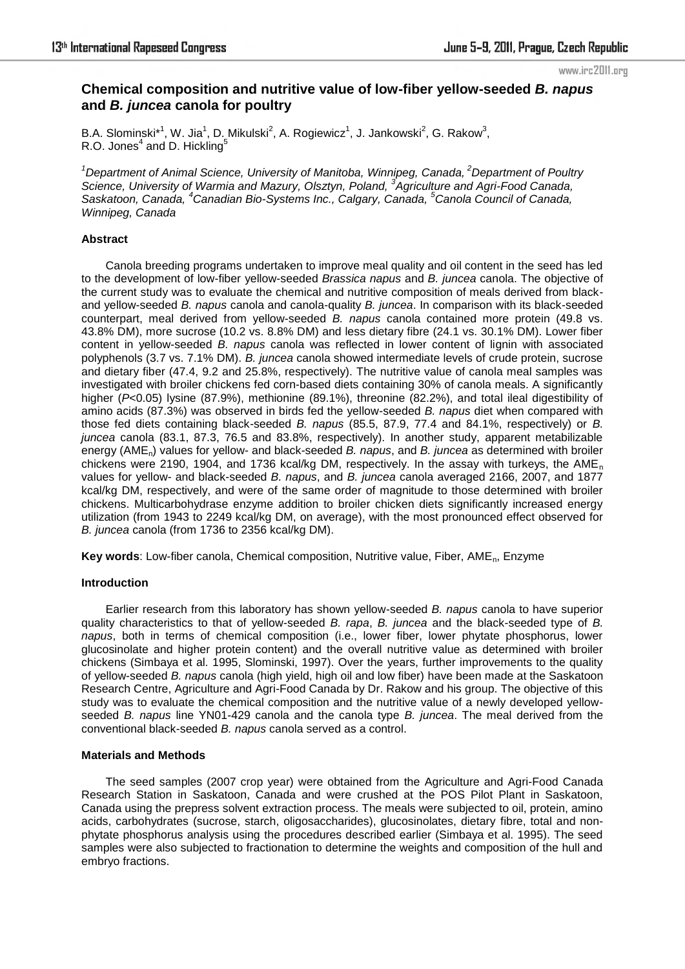#### www.irc2011.org

# **Chemical composition and nutritive value of low-fiber yellow-seeded** *B. napus* **and** *B. juncea* **canola for poultry**

B.A. Slominski $*^1$ , W. Jia<sup>1</sup>, D. Mikulski<sup>2</sup>, A. Rogiewicz<sup>1</sup>, J. Jankowski<sup>2</sup>, G. Rakow<sup>3</sup>, R.O. Jones<sup>4</sup> and D. Hickling<sup>5</sup>

*<sup>1</sup>Department of Animal Science, University of Manitoba, Winnipeg, Canada,<sup>2</sup>Department of Poultry Science, University of Warmia and Mazury, Olsztyn, Poland, <sup>3</sup> Agriculture and Agri-Food Canada, Saskatoon, Canada, <sup>4</sup>Canadian Bio-Systems Inc., Calgary, Canada, <sup>5</sup>Canola Council of Canada, Winnipeg, Canada*

## **Abstract**

Canola breeding programs undertaken to improve meal quality and oil content in the seed has led to the development of low-fiber yellow-seeded *Brassica napus* and *B. juncea* canola. The objective of the current study was to evaluate the chemical and nutritive composition of meals derived from blackand yellow-seeded *B. napus* canola and canola-quality *B. juncea*. In comparison with its black-seeded counterpart, meal derived from yellow-seeded *B. napus* canola contained more protein (49.8 vs. 43.8% DM), more sucrose (10.2 vs. 8.8% DM) and less dietary fibre (24.1 vs. 30.1% DM). Lower fiber content in yellow-seeded *B. napus* canola was reflected in lower content of lignin with associated polyphenols (3.7 vs. 7.1% DM). *B. juncea* canola showed intermediate levels of crude protein, sucrose and dietary fiber (47.4, 9.2 and 25.8%, respectively). The nutritive value of canola meal samples was investigated with broiler chickens fed corn-based diets containing 30% of canola meals. A significantly higher (*P*<0.05) lysine (87.9%), methionine (89.1%), threonine (82.2%), and total ileal digestibility of amino acids (87.3%) was observed in birds fed the yellow-seeded *B. napus* diet when compared with those fed diets containing black-seeded *B. napus* (85.5, 87.9, 77.4 and 84.1%, respectively) or *B. juncea* canola (83.1, 87.3, 76.5 and 83.8%, respectively). In another study, apparent metabilizable energy (AMEn) values for yellow- and black-seeded *B. napus*, and *B. juncea* as determined with broiler chickens were 2190, 1904, and 1736 kcal/kg DM, respectively. In the assay with turkeys, the  $AME<sub>n</sub>$ values for yellow- and black-seeded *B. napus*, and *B. juncea* canola averaged 2166, 2007, and 1877 kcal/kg DM, respectively, and were of the same order of magnitude to those determined with broiler chickens. Multicarbohydrase enzyme addition to broiler chicken diets significantly increased energy utilization (from 1943 to 2249 kcal/kg DM, on average), with the most pronounced effect observed for *B. juncea* canola (from 1736 to 2356 kcal/kg DM).

**Key words**: Low-fiber canola, Chemical composition, Nutritive value, Fiber, AMEn, Enzyme

## **Introduction**

Earlier research from this laboratory has shown yellow-seeded *B. napus* canola to have superior quality characteristics to that of yellow-seeded *B. rapa*, *B. juncea* and the black-seeded type of *B. napus*, both in terms of chemical composition (i.e., lower fiber, lower phytate phosphorus, lower glucosinolate and higher protein content) and the overall nutritive value as determined with broiler chickens (Simbaya et al. 1995, Slominski, 1997). Over the years, further improvements to the quality of yellow-seeded *B. napus* canola (high yield, high oil and low fiber) have been made at the Saskatoon Research Centre, Agriculture and Agri-Food Canada by Dr. Rakow and his group. The objective of this study was to evaluate the chemical composition and the nutritive value of a newly developed yellowseeded *B. napus* line YN01-429 canola and the canola type *B. juncea*. The meal derived from the conventional black-seeded *B. napus* canola served as a control.

## **Materials and Methods**

The seed samples (2007 crop year) were obtained from the Agriculture and Agri-Food Canada Research Station in Saskatoon, Canada and were crushed at the POS Pilot Plant in Saskatoon, Canada using the prepress solvent extraction process. The meals were subjected to oil, protein, amino acids, carbohydrates (sucrose, starch, oligosaccharides), glucosinolates, dietary fibre, total and nonphytate phosphorus analysis using the procedures described earlier (Simbaya et al. 1995). The seed samples were also subjected to fractionation to determine the weights and composition of the hull and embryo fractions.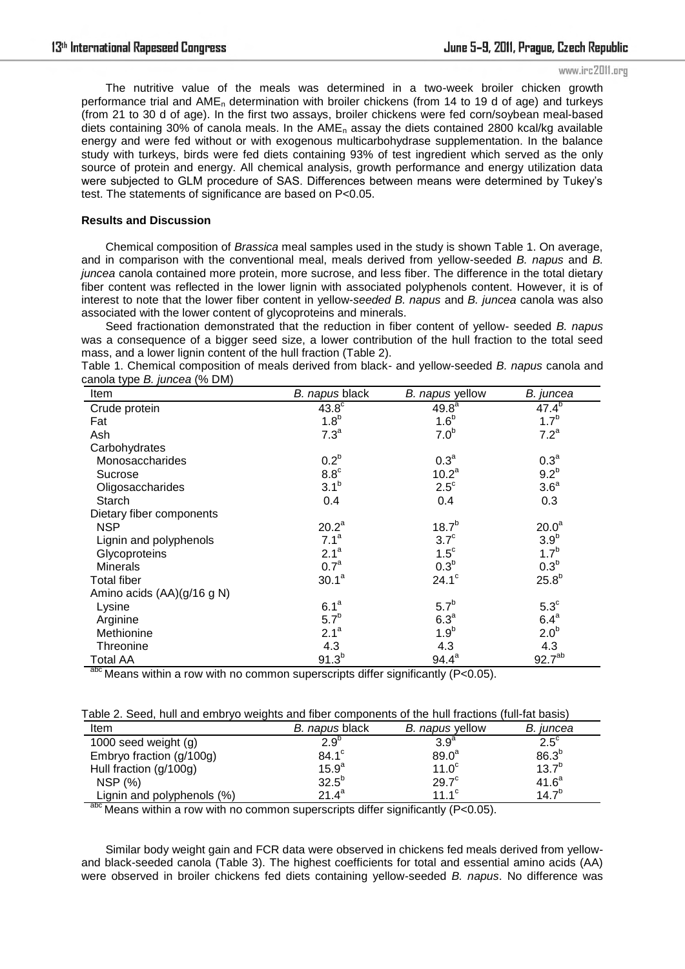#### www.irc2011.org

The nutritive value of the meals was determined in a two-week broiler chicken growth performance trial and  $AME_n$  determination with broiler chickens (from 14 to 19 d of age) and turkeys (from 21 to 30 d of age). In the first two assays, broiler chickens were fed corn/soybean meal-based diets containing 30% of canola meals. In the  $AME<sub>n</sub>$  assay the diets contained 2800 kcal/kg available energy and were fed without or with exogenous multicarbohydrase supplementation. In the balance study with turkeys, birds were fed diets containing 93% of test ingredient which served as the only source of protein and energy. All chemical analysis, growth performance and energy utilization data were subjected to GLM procedure of SAS. Differences between means were determined by Tukey's test. The statements of significance are based on P<0.05.

## **Results and Discussion**

Chemical composition of *Brassica* meal samples used in the study is shown Table 1. On average, and in comparison with the conventional meal, meals derived from yellow-seeded *B. napus* and *B. juncea* canola contained more protein, more sucrose, and less fiber. The difference in the total dietary fiber content was reflected in the lower lignin with associated polyphenols content. However, it is of interest to note that the lower fiber content in yellow-*seeded B. napus* and *B. juncea* canola was also associated with the lower content of glycoproteins and minerals.

Seed fractionation demonstrated that the reduction in fiber content of yellow- seeded *B. napus* was a consequence of a bigger seed size, a lower contribution of the hull fraction to the total seed mass, and a lower lignin content of the hull fraction (Table 2).

Table 1. Chemical composition of meals derived from black- and yellow-seeded *B. napus* canola and canola type *B. juncea* (% DM)

| Item                       | B. napus black    | B. napus yellow     | B. juncea          |
|----------------------------|-------------------|---------------------|--------------------|
| Crude protein              | $43.8^\circ$      | 49.8 <sup>a</sup>   | $47.4^{b}$         |
| Fat                        | 1.8 <sup>b</sup>  | 1.6 <sup>b</sup>    | $1.7^{b}$          |
| Ash                        | 7.3 <sup>a</sup>  | 7.0 <sup>b</sup>    | 7.2 <sup>a</sup>   |
| Carbohydrates              |                   |                     |                    |
| Monosaccharides            | 0.2 <sup>b</sup>  | 0.3 <sup>a</sup>    | 0.3 <sup>a</sup>   |
| Sucrose                    | $8.8^{\circ}$     | 10.2 <sup>a</sup>   | 9.2 <sup>b</sup>   |
| Oligosaccharides           | 3.1 <sup>b</sup>  | $2.5^{\circ}$       | 3.6 <sup>a</sup>   |
| Starch                     | 0.4               | 0.4                 | 0.3                |
| Dietary fiber components   |                   |                     |                    |
| <b>NSP</b>                 | 20.2 <sup>a</sup> | $18.7^{b}$          | 20.0 <sup>a</sup>  |
| Lignin and polyphenols     | 7.1 <sup>a</sup>  | $3.7^\circ$         | 3.9 <sup>b</sup>   |
| Glycoproteins              | 2.1 <sup>a</sup>  | $1.5^{\circ}$       | $1.7^{b}$          |
| <b>Minerals</b>            | 0.7 <sup>a</sup>  | 0.3 <sup>b</sup>    | 0.3 <sup>b</sup>   |
| <b>Total fiber</b>         | 30.1 <sup>a</sup> | $24.1$ <sup>c</sup> | $25.8^{b}$         |
| Amino acids (AA)(g/16 g N) |                   |                     |                    |
| Lysine                     | 6.1 <sup>a</sup>  | 5.7 <sup>b</sup>    | $5.3^\circ$        |
| Arginine                   | 5.7 <sup>b</sup>  | 6.3 <sup>a</sup>    | 6.4 <sup>a</sup>   |
| Methionine                 | 2.1 <sup>a</sup>  | 1.9 <sup>b</sup>    | 2.0 <sup>b</sup>   |
| <b>Threonine</b>           | 4.3               | 4.3                 | 4.3                |
| Total AA<br>2 <sub>h</sub> | $91.3^{b}$        | $94.4^a$            | 92.7 <sup>ab</sup> |

 $\rm{^{aoc}}$  Means within a row with no common superscripts differ significantly (P<0.05).

| Table 2. Seed, hull and embryo weights and fiber components of the hull fractions (full-fat basis) |  |  |
|----------------------------------------------------------------------------------------------------|--|--|
|                                                                                                    |  |  |

| Item                       | B. napus black    | B. napus yellow   | B. juncea         |
|----------------------------|-------------------|-------------------|-------------------|
| 1000 seed weight (g)       | $2.9^{\circ}$     | 3.9 <sup>a</sup>  | $2.5^{\circ}$     |
| Embryo fraction (g/100g)   | $84.1^\circ$      | 89.0 <sup>a</sup> | 86.3 <sup>b</sup> |
| Hull fraction (g/100g)     | 15.9 <sup>a</sup> | 11.0 <sup>c</sup> | 13.7 <sup>b</sup> |
| <b>NSP</b> (%)             | $32.5^{b}$        | 29.7 <sup>c</sup> | $41.6^a$          |
| Lignin and polyphenols (%) | $21.4^a$          | 11 $1^{\circ}$    | $14.7^{b}$        |

 $a$ <sup>hc</sup> Means within a row with no common superscripts differ significantly (P<0.05).

Similar body weight gain and FCR data were observed in chickens fed meals derived from yellowand black-seeded canola (Table 3). The highest coefficients for total and essential amino acids (AA) were observed in broiler chickens fed diets containing yellow-seeded *B. napus*. No difference was